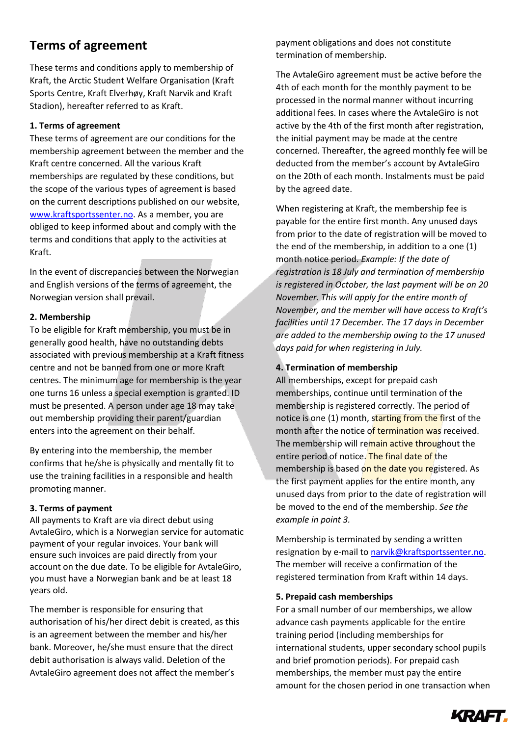# **Terms of agreement**

These terms and conditions apply to membership of Kraft, the Arctic Student Welfare Organisation (Kraft Sports Centre, Kraft Elverhøy, Kraft Narvik and Kraft Stadion), hereafter referred to as Kraft.

# **1. Terms of agreement**

These terms of agreement are our conditions for the membership agreement between the member and the Kraft centre concerned. All the various Kraft memberships are regulated by these conditions, but the scope of the various types of agreement is based on the current descriptions published on our website, [www.kraftsportssenter.no.](http://www.kraftsportssenter.no/) As a member, you are obliged to keep informed about and comply with the terms and conditions that apply to the activities at Kraft.

In the event of discrepancies between the Norwegian and English versions of the terms of agreement, the Norwegian version shall prevail.

# **2. Membership**

To be eligible for Kraft membership, you must be in generally good health, have no outstanding debts associated with previous membership at a Kraft fitness centre and not be banned from one or more Kraft centres. The minimum age for membership is the year one turns 16 unless a special exemption is granted. ID must be presented. A person under age 18 may take out membership providing their parent/guardian enters into the agreement on their behalf.

By entering into the membership, the member confirms that he/she is physically and mentally fit to use the training facilities in a responsible and health promoting manner.

# **3. Terms of payment**

All payments to Kraft are via direct debut using AvtaleGiro, which is a Norwegian service for automatic payment of your regular invoices. Your bank will ensure such invoices are paid directly from your account on the due date. To be eligible for AvtaleGiro, you must have a Norwegian bank and be at least 18 years old.

The member is responsible for ensuring that authorisation of his/her direct debit is created, as this is an agreement between the member and his/her bank. Moreover, he/she must ensure that the direct debit authorisation is always valid. Deletion of the AvtaleGiro agreement does not affect the member's

payment obligations and does not constitute termination of membership.

The AvtaleGiro agreement must be active before the 4th of each month for the monthly payment to be processed in the normal manner without incurring additional fees. In cases where the AvtaleGiro is not active by the 4th of the first month after registration, the initial payment may be made at the centre concerned. Thereafter, the agreed monthly fee will be deducted from the member's account by AvtaleGiro on the 20th of each month. Instalments must be paid by the agreed date.

When registering at Kraft, the membership fee is payable for the entire first month. Any unused days from prior to the date of registration will be moved to the end of the membership, in addition to a one (1) month notice period. *Example: If the date of registration is 18 July and termination of membership is registered in October, the last payment will be on 20 November. This will apply for the entire month of November, and the member will have access to Kraft's facilities until 17 December. The 17 days in December are added to the membership owing to the 17 unused days paid for when registering in July.*

# **4. Termination of membership**

All memberships, except for prepaid cash memberships, continue until termination of the membership is registered correctly. The period of notice is one (1) month, starting from the first of the month after the notice of termination was received. The membership will remain active throughout the entire period of notice. The final date of the membership is based on the date you registered. As the first payment applies for the entire month, any unused days from prior to the date of registration will be moved to the end of the membership. *See the example in point 3.*

Membership is terminated by sending a written resignation by e-mail to [narvik@kraftsportssenter.no.](mailto:kraft@kraftsportssenter.no) The member will receive a confirmation of the registered termination from Kraft within 14 days.

#### **5. Prepaid cash memberships**

For a small number of our memberships, we allow advance cash payments applicable for the entire training period (including memberships for international students, upper secondary school pupils and brief promotion periods). For prepaid cash memberships, the member must pay the entire amount for the chosen period in one transaction when

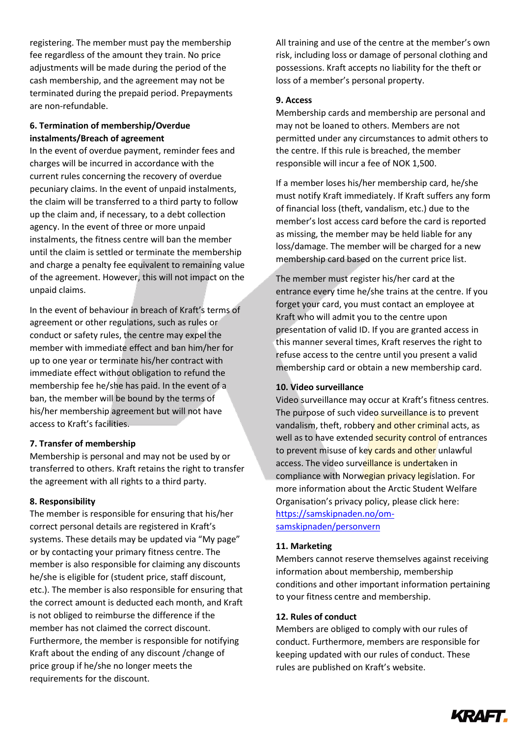registering. The member must pay the membership fee regardless of the amount they train. No price adjustments will be made during the period of the cash membership, and the agreement may not be terminated during the prepaid period. Prepayments are non-refundable.

# **6. Termination of membership/Overdue instalments/Breach of agreement**

In the event of overdue payment, reminder fees and charges will be incurred in accordance with the current rules concerning the recovery of overdue pecuniary claims. In the event of unpaid instalments, the claim will be transferred to a third party to follow up the claim and, if necessary, to a debt collection agency. In the event of three or more unpaid instalments, the fitness centre will ban the member until the claim is settled or terminate the membership and charge a penalty fee equivalent to remaining value of the agreement. However, this will not impact on the unpaid claims.

In the event of behaviour in breach of Kraft's terms of agreement or other regulations, such as rules or conduct or safety rules, the centre may expel the member with immediate effect and ban him/her for up to one year or terminate his/her contract with immediate effect without obligation to refund the membership fee he/she has paid. In the event of a ban, the member will be bound by the terms of his/her membership agreement but will not have access to Kraft's facilities.

# **7. Transfer of membership**

Membership is personal and may not be used by or transferred to others. Kraft retains the right to transfer the agreement with all rights to a third party.

# **8. Responsibility**

The member is responsible for ensuring that his/her correct personal details are registered in Kraft's systems. These details may be updated via "My page" or by contacting your primary fitness centre. The member is also responsible for claiming any discounts he/she is eligible for (student price, staff discount, etc.). The member is also responsible for ensuring that the correct amount is deducted each month, and Kraft is not obliged to reimburse the difference if the member has not claimed the correct discount. Furthermore, the member is responsible for notifying Kraft about the ending of any discount /change of price group if he/she no longer meets the requirements for the discount.

All training and use of the centre at the member's own risk, including loss or damage of personal clothing and possessions. Kraft accepts no liability for the theft or loss of a member's personal property.

### **9. Access**

Membership cards and membership are personal and may not be loaned to others. Members are not permitted under any circumstances to admit others to the centre. If this rule is breached, the member responsible will incur a fee of NOK 1,500.

If a member loses his/her membership card, he/she must notify Kraft immediately. If Kraft suffers any form of financial loss (theft, vandalism, etc.) due to the member's lost access card before the card is reported as missing, the member may be held liable for any loss/damage. The member will be charged for a new membership card based on the current price list.

The member must register his/her card at the entrance every time he/she trains at the centre. If you forget your card, you must contact an employee at Kraft who will admit you to the centre upon presentation of valid ID. If you are granted access in this manner several times, Kraft reserves the right to refuse access to the centre until you present a valid membership card or obtain a new membership card.

# **10. Video surveillance**

Video surveillance may occur at Kraft's fitness centres. The purpose of such video surveillance is to prevent vandalism, theft, robbery and other criminal acts, as well as to have extended security control of entrances to prevent misuse of key cards and other unlawful access. The video surveillance is undertaken in compliance with Norwegian privacy legislation. For more information about the Arctic Student Welfare Organisation's privacy policy, please click here: [https://samskipnaden.no/om](https://samskipnaden.no/om-samskipnaden/personvern)[samskipnaden/personvern](https://samskipnaden.no/om-samskipnaden/personvern)

#### **11. Marketing**

Members cannot reserve themselves against receiving information about membership, membership conditions and other important information pertaining to your fitness centre and membership.

#### **12. Rules of conduct**

Members are obliged to comply with our rules of conduct. Furthermore, members are responsible for keeping updated with our rules of conduct. These rules are published on Kraft's website.

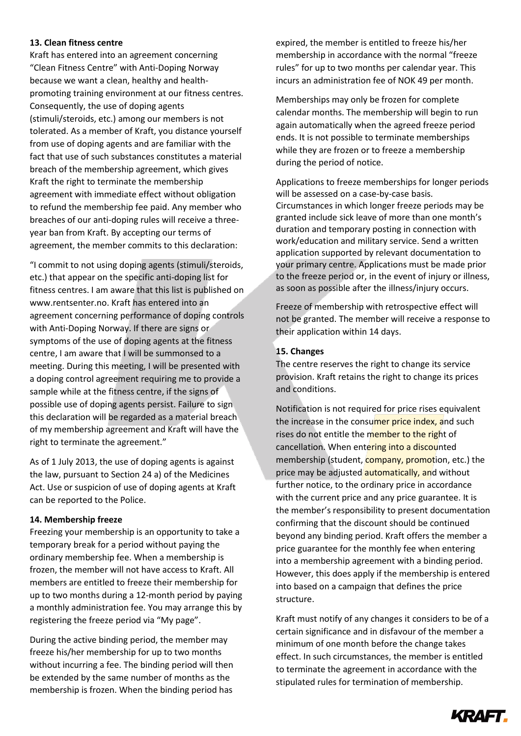#### **13. Clean fitness centre**

Kraft has entered into an agreement concerning "Clean Fitness Centre" with Anti-Doping Norway because we want a clean, healthy and healthpromoting training environment at our fitness centres. Consequently, the use of doping agents (stimuli/steroids, etc.) among our members is not tolerated. As a member of Kraft, you distance yourself from use of doping agents and are familiar with the fact that use of such substances constitutes a material breach of the membership agreement, which gives Kraft the right to terminate the membership agreement with immediate effect without obligation to refund the membership fee paid. Any member who breaches of our anti-doping rules will receive a threeyear ban from Kraft. By accepting our terms of agreement, the member commits to this declaration:

"I commit to not using doping agents (stimuli/steroids, etc.) that appear on the specific anti-doping list for fitness centres. I am aware that this list is published on www.rentsenter.no. Kraft has entered into an agreement concerning performance of doping controls with Anti-Doping Norway. If there are signs or symptoms of the use of doping agents at the fitness centre, I am aware that I will be summonsed to a meeting. During this meeting, I will be presented with a doping control agreement requiring me to provide a sample while at the fitness centre, if the signs of possible use of doping agents persist. Failure to sign this declaration will be regarded as a material breach of my membership agreement and Kraft will have the right to terminate the agreement."

As of 1 July 2013, the use of doping agents is against the law, pursuant to Section 24 a) of the Medicines Act. Use or suspicion of use of doping agents at Kraft can be reported to the Police.

#### **14. Membership freeze**

Freezing your membership is an opportunity to take a temporary break for a period without paying the ordinary membership fee. When a membership is frozen, the member will not have access to Kraft. All members are entitled to freeze their membership for up to two months during a 12-month period by paying a monthly administration fee. You may arrange this by registering the freeze period via "My page".

During the active binding period, the member may freeze his/her membership for up to two months without incurring a fee. The binding period will then be extended by the same number of months as the membership is frozen. When the binding period has

expired, the member is entitled to freeze his/her membership in accordance with the normal "freeze rules" for up to two months per calendar year. This incurs an administration fee of NOK 49 per month.

Memberships may only be frozen for complete calendar months. The membership will begin to run again automatically when the agreed freeze period ends. It is not possible to terminate memberships while they are frozen or to freeze a membership during the period of notice.

Applications to freeze memberships for longer periods will be assessed on a case-by-case basis. Circumstances in which longer freeze periods may be granted include sick leave of more than one month's duration and temporary posting in connection with work/education and military service. Send a written application supported by relevant documentation to your primary centre. Applications must be made prior to the freeze period or, in the event of injury or illness, as soon as possible after the illness/injury occurs.

Freeze of membership with retrospective effect will not be granted. The member will receive a response to their application within 14 days.

#### **15. Changes**

The centre reserves the right to change its service provision. Kraft retains the right to change its prices and conditions.

Notification is not required for price rises equivalent the increase in the consumer price index, and such rises do not entitle the member to the right of cancellation. When entering into a discounted membership (student, **company, promot**ion, etc.) the price may be adjusted **automatically, and without** further notice, to the ordinary price in accordance with the current price and any price guarantee. It is the member's responsibility to present documentation confirming that the discount should be continued beyond any binding period. Kraft offers the member a price guarantee for the monthly fee when entering into a membership agreement with a binding period. However, this does apply if the membership is entered into based on a campaign that defines the price structure.

Kraft must notify of any changes it considers to be of a certain significance and in disfavour of the member a minimum of one month before the change takes effect. In such circumstances, the member is entitled to terminate the agreement in accordance with the stipulated rules for termination of membership.